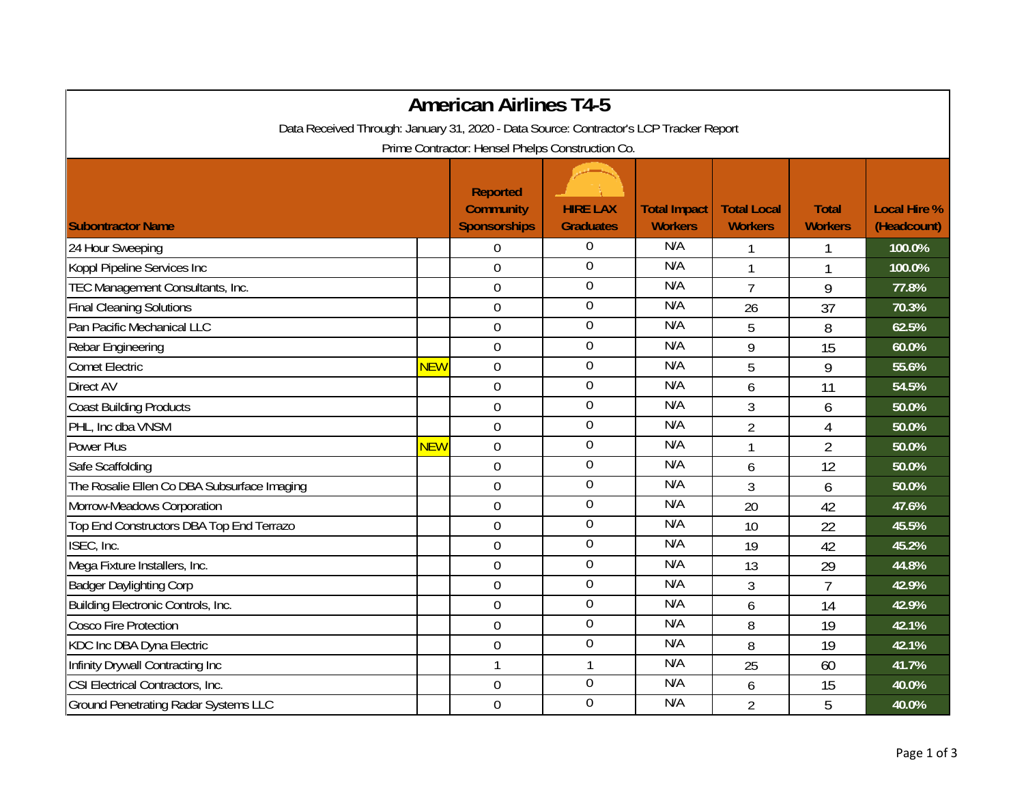| <b>American Airlines T4-5</b>                                                          |            |                                                            |                                     |                                       |                                      |                                |                                    |  |
|----------------------------------------------------------------------------------------|------------|------------------------------------------------------------|-------------------------------------|---------------------------------------|--------------------------------------|--------------------------------|------------------------------------|--|
| Data Received Through: January 31, 2020 - Data Source: Contractor's LCP Tracker Report |            |                                                            |                                     |                                       |                                      |                                |                                    |  |
| Prime Contractor: Hensel Phelps Construction Co.                                       |            |                                                            |                                     |                                       |                                      |                                |                                    |  |
| <b>Subontractor Name</b>                                                               |            | <b>Reported</b><br><b>Community</b><br><b>Sponsorships</b> | <b>HIRE LAX</b><br><b>Graduates</b> | <b>Total Impact</b><br><b>Workers</b> | <b>Total Local</b><br><b>Workers</b> | <b>Total</b><br><b>Workers</b> | <b>Local Hire %</b><br>(Headcount) |  |
| 24 Hour Sweeping                                                                       |            | 0                                                          | 0                                   | N/A                                   | 1                                    | 1                              | 100.0%                             |  |
| Koppl Pipeline Services Inc                                                            |            | $\mathbf 0$                                                | $\boldsymbol{0}$                    | N/A                                   | 1                                    |                                | 100.0%                             |  |
| TEC Management Consultants, Inc.                                                       |            | $\overline{0}$                                             | $\boldsymbol{0}$                    | N/A                                   | $\overline{7}$                       | 9                              | 77.8%                              |  |
| <b>Final Cleaning Solutions</b>                                                        |            | $\boldsymbol{0}$                                           | $\overline{0}$                      | N/A                                   | 26                                   | 37                             | 70.3%                              |  |
| Pan Pacific Mechanical LLC                                                             |            | $\boldsymbol{0}$                                           | 0                                   | N/A                                   | 5                                    | 8                              | 62.5%                              |  |
| Rebar Engineering                                                                      |            | $\mathbf 0$                                                | $\boldsymbol{0}$                    | N/A                                   | 9                                    | 15                             | 60.0%                              |  |
| <b>Comet Electric</b>                                                                  | <b>NEW</b> | $\mathbf 0$                                                | $\mathbf 0$                         | N/A                                   | 5                                    | 9                              | 55.6%                              |  |
| Direct AV                                                                              |            | $\mathbf 0$                                                | $\overline{0}$                      | N/A                                   | 6                                    | 11                             | 54.5%                              |  |
| <b>Coast Building Products</b>                                                         |            | $\mathbf 0$                                                | $\boldsymbol{0}$                    | N/A                                   | 3                                    | 6                              | 50.0%                              |  |
| PHL, Inc dba VNSM                                                                      |            | $\boldsymbol{0}$                                           | $\boldsymbol{0}$                    | N/A                                   | $\overline{2}$                       | $\overline{4}$                 | 50.0%                              |  |
| <b>Power Plus</b>                                                                      | <b>NEW</b> | $\mathbf 0$                                                | $\boldsymbol{0}$                    | N/A                                   | $\mathbf{1}$                         | $\overline{2}$                 | 50.0%                              |  |
| Safe Scaffolding                                                                       |            | $\mathbf 0$                                                | $\mathbf 0$                         | N/A                                   | 6                                    | 12                             | 50.0%                              |  |
| The Rosalie Ellen Co DBA Subsurface Imaging                                            |            | $\mathbf 0$                                                | $\boldsymbol{0}$                    | N/A                                   | 3                                    | 6                              | 50.0%                              |  |
| Morrow-Meadows Corporation                                                             |            | $\mathbf 0$                                                | $\boldsymbol{0}$                    | N/A                                   | 20                                   | 42                             | 47.6%                              |  |
| Top End Constructors DBA Top End Terrazo                                               |            | $\overline{0}$                                             | $\mathbf 0$                         | N/A                                   | 10                                   | 22                             | 45.5%                              |  |
| ISEC, Inc.                                                                             |            | $\boldsymbol{0}$                                           | $\boldsymbol{0}$                    | N/A                                   | 19                                   | 42                             | 45.2%                              |  |
| Mega Fixture Installers, Inc.                                                          |            | $\mathbf 0$                                                | $\boldsymbol{0}$                    | N/A                                   | 13                                   | 29                             | 44.8%                              |  |
| <b>Badger Daylighting Corp</b>                                                         |            | $\overline{0}$                                             | $\mathbf 0$                         | N/A                                   | 3                                    | $\overline{7}$                 | 42.9%                              |  |
| Building Electronic Controls, Inc.                                                     |            | $\overline{0}$                                             | $\overline{0}$                      | N/A                                   | 6                                    | 14                             | 42.9%                              |  |
| <b>Cosco Fire Protection</b>                                                           |            | $\mathbf 0$                                                | $\mathbf 0$                         | N/A                                   | 8                                    | 19                             | 42.1%                              |  |
| KDC Inc DBA Dyna Electric                                                              |            | $\mathbf 0$                                                | $\mathbf 0$                         | N/A                                   | 8                                    | 19                             | 42.1%                              |  |
| Infinity Drywall Contracting Inc                                                       |            | $\mathbf{1}$                                               | $\mathbf{1}$                        | N/A                                   | 25                                   | 60                             | 41.7%                              |  |
| CSI Electrical Contractors, Inc.                                                       |            | $\boldsymbol{0}$                                           | $\overline{0}$                      | N/A                                   | 6                                    | 15                             | 40.0%                              |  |
| <b>Ground Penetrating Radar Systems LLC</b>                                            |            | $\boldsymbol{0}$                                           | 0                                   | N/A                                   | $\overline{2}$                       | 5                              | 40.0%                              |  |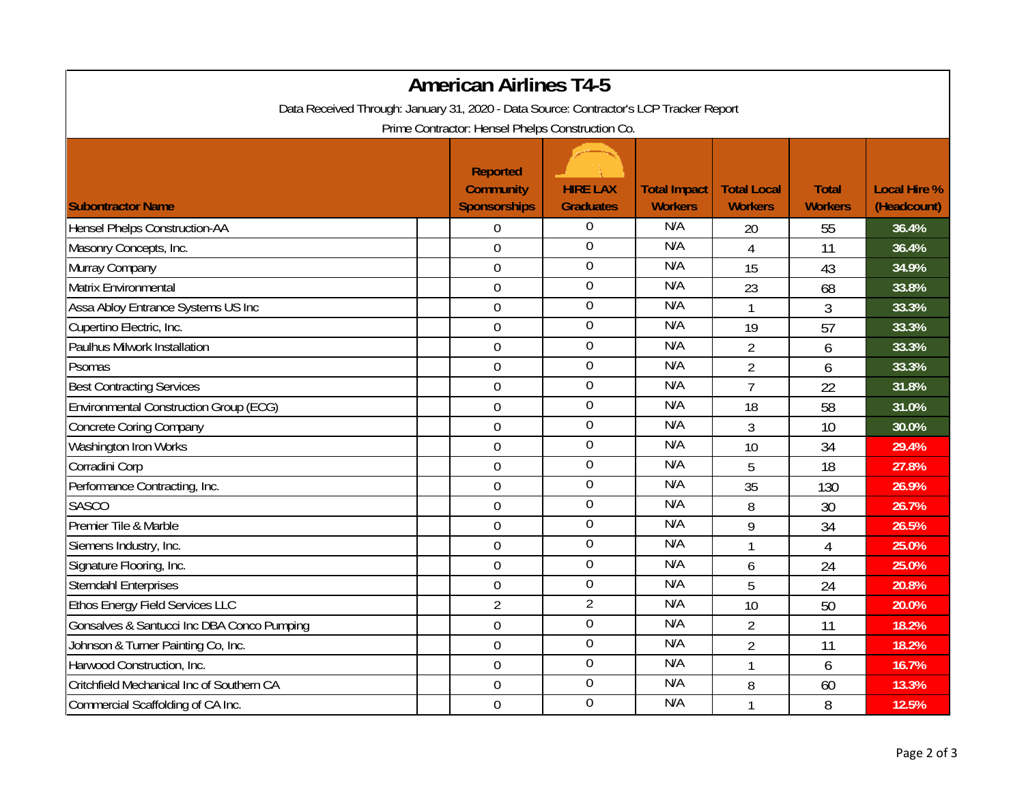| <b>American Airlines T4-5</b>                                                          |                                                            |                                     |                                       |                                      |                                |                                    |  |  |
|----------------------------------------------------------------------------------------|------------------------------------------------------------|-------------------------------------|---------------------------------------|--------------------------------------|--------------------------------|------------------------------------|--|--|
| Data Received Through: January 31, 2020 - Data Source: Contractor's LCP Tracker Report |                                                            |                                     |                                       |                                      |                                |                                    |  |  |
| Prime Contractor: Hensel Phelps Construction Co.                                       |                                                            |                                     |                                       |                                      |                                |                                    |  |  |
| <b>Subontractor Name</b>                                                               | <b>Reported</b><br><b>Community</b><br><b>Sponsorships</b> | <b>HIRE LAX</b><br><b>Graduates</b> | <b>Total Impact</b><br><b>Workers</b> | <b>Total Local</b><br><b>Workers</b> | <b>Total</b><br><b>Workers</b> | <b>Local Hire %</b><br>(Headcount) |  |  |
| <b>Hensel Phelps Construction-AA</b>                                                   | $\boldsymbol{0}$                                           | $\boldsymbol{0}$                    | N/A                                   | 20                                   | 55                             | 36.4%                              |  |  |
| Masonry Concepts, Inc.                                                                 | $\overline{0}$                                             | $\overline{0}$                      | N/A                                   | $\overline{4}$                       | 11                             | 36.4%                              |  |  |
| Murray Company                                                                         | $\boldsymbol{0}$                                           | $\boldsymbol{0}$                    | N/A                                   | 15                                   | 43                             | 34.9%                              |  |  |
| Matrix Environmental                                                                   | $\boldsymbol{0}$                                           | $\boldsymbol{0}$                    | N/A                                   | 23                                   | 68                             | 33.8%                              |  |  |
| Assa Abloy Entrance Systems US Inc                                                     | $\overline{0}$                                             | $\mathbf 0$                         | N/A                                   | $\mathbf{1}$                         | 3                              | 33.3%                              |  |  |
| Cupertino Electric, Inc.                                                               | $\boldsymbol{0}$                                           | $\overline{0}$                      | N/A                                   | 19                                   | 57                             | 33.3%                              |  |  |
| Paulhus Milwork Installation                                                           | $\boldsymbol{0}$                                           | $\boldsymbol{0}$                    | N/A                                   | $\overline{2}$                       | 6                              | 33.3%                              |  |  |
| Psomas                                                                                 | $\boldsymbol{0}$                                           | $\boldsymbol{0}$                    | N/A                                   | $\overline{2}$                       | 6                              | 33.3%                              |  |  |
| <b>Best Contracting Services</b>                                                       | $\mathbf 0$                                                | $\mathbf 0$                         | N/A                                   | $\overline{7}$                       | 22                             | 31.8%                              |  |  |
| <b>Environmental Construction Group (ECG)</b>                                          | $\boldsymbol{0}$                                           | $\boldsymbol{0}$                    | N/A                                   | 18                                   | 58                             | 31.0%                              |  |  |
| <b>Concrete Coring Company</b>                                                         | $\boldsymbol{0}$                                           | $\boldsymbol{0}$                    | N/A                                   | 3                                    | 10                             | 30.0%                              |  |  |
| Washington Iron Works                                                                  | $\mathbf 0$                                                | $\boldsymbol{0}$                    | N/A                                   | 10                                   | 34                             | 29.4%                              |  |  |
| Corradini Corp                                                                         | $\mathbf 0$                                                | $\boldsymbol{0}$                    | N/A                                   | 5                                    | 18                             | 27.8%                              |  |  |
| Performance Contracting, Inc.                                                          | $\mathbf 0$                                                | $\boldsymbol{0}$                    | N/A                                   | 35                                   | 130                            | 26.9%                              |  |  |
| <b>SASCO</b>                                                                           | $\boldsymbol{0}$                                           | $\mathbf 0$                         | N/A                                   | 8                                    | 30                             | 26.7%                              |  |  |
| Premier Tile & Marble                                                                  | $\boldsymbol{0}$                                           | $\mathbf 0$                         | N/A                                   | 9                                    | 34                             | 26.5%                              |  |  |
| Siemens Industry, Inc.                                                                 | $\mathbf 0$                                                | $\overline{0}$                      | N/A                                   |                                      | $\overline{4}$                 | 25.0%                              |  |  |
| Signature Flooring, Inc.                                                               | $\overline{0}$                                             | $\mathbf 0$                         | N/A                                   | 6                                    | 24                             | 25.0%                              |  |  |
| <b>Sterndahl Enterprises</b>                                                           | $\boldsymbol{0}$                                           | $\mathbf 0$                         | N/A                                   | 5                                    | 24                             | 20.8%                              |  |  |
| Ethos Energy Field Services LLC                                                        | $\overline{2}$                                             | $\overline{2}$                      | N/A                                   | 10                                   | 50                             | 20.0%                              |  |  |
| Gonsalves & Santucci Inc DBA Conco Pumping                                             | $\boldsymbol{0}$                                           | $\boldsymbol{0}$                    | N/A                                   | $\overline{2}$                       | 11                             | 18.2%                              |  |  |
| Johnson & Turner Painting Co, Inc.                                                     | $\boldsymbol{0}$                                           | $\boldsymbol{0}$                    | N/A                                   | $\overline{2}$                       | 11                             | 18.2%                              |  |  |
| Harwood Construction, Inc.                                                             | $\mathbf 0$                                                | $\boldsymbol{0}$                    | N/A                                   | 1                                    | 6                              | 16.7%                              |  |  |
| Critchfield Mechanical Inc of Southern CA                                              | $\mathbf 0$                                                | $\overline{0}$                      | N/A                                   | 8                                    | 60                             | 13.3%                              |  |  |
| Commercial Scaffolding of CA Inc.                                                      | $\mathbf 0$                                                | $\boldsymbol{0}$                    | N/A                                   |                                      | 8                              | 12.5%                              |  |  |